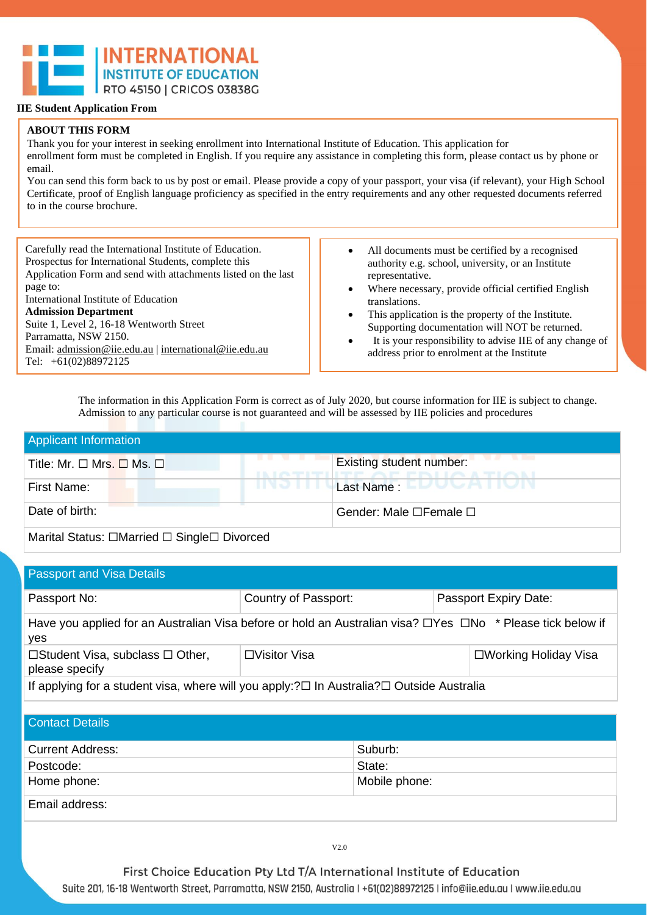

#### **ABOUT THIS FORM**

Tel: +61(02)88972125

Thank you for your interest in seeking enrollment into International Institute of Education. This application for enrollment form must be completed in English. If you require any assistance in completing this form, please contact us by phone or email.

You can send this form back to us by post or email. Please provide a copy of your passport, your visa (if relevant), your High School Certificate, proof of English language proficiency as specified in the entry requirements and any other requested documents referred to in the course brochure.

Carefully read the International Institute of Education. Prospectus for International Students, complete this Application Form and send with attachments listed on the last page to: International Institute of Education **Admission Department**  Suite 1, Level 2, 16-18 Wentworth Street Parramatta, NSW 2150. Email[: admission@iie.edu.au](mailto:admission@iie.edu.au) | [international@iie.edu.au](mailto:international@iie.edu.au)

• All documents must be certified by a recognised authority e.g. school, university, or an Institute representative.

- Where necessary, provide official certified English translations.
- This application is the property of the Institute. Supporting documentation will NOT be returned.
- It is your responsibility to advise IIE of any change of address prior to enrolment at the Institute

The information in this Application Form is correct as of July 2020, but course information for IIE is subject to change. Admission to any particular course is not guaranteed and will be assessed by IIE policies and procedures

| <b>Applicant Information</b>                |                                   |
|---------------------------------------------|-----------------------------------|
| Title: Mr. $\Box$ Mrs. $\Box$ Ms. $\Box$    | <b>Existing student number:</b>   |
| INJ I<br>First Name:                        | Last Name : ELUUCATION            |
| Date of birth:                              | Gender: Male $\Box$ Female $\Box$ |
| Marital Status: □Married □ Single□ Divorced |                                   |

Passport and Visa Details Passport No: Country of Passport: Passport Expiry Date: Have you applied for an Australian Visa before or hold an Australian visa? □Yes □No \* Please tick below if yes ☐Student Visa, subclass ☐ Other, please specify ☐Visitor Visa ☐Working Holiday Visa If applying for a student visa, where will you apply:?☐ In Australia?☐ Outside Australia

| <b>Contact Details</b>  |               |
|-------------------------|---------------|
| <b>Current Address:</b> | Suburb:       |
| Postcode:               | State:        |
| Home phone:             | Mobile phone: |
| Email address:          |               |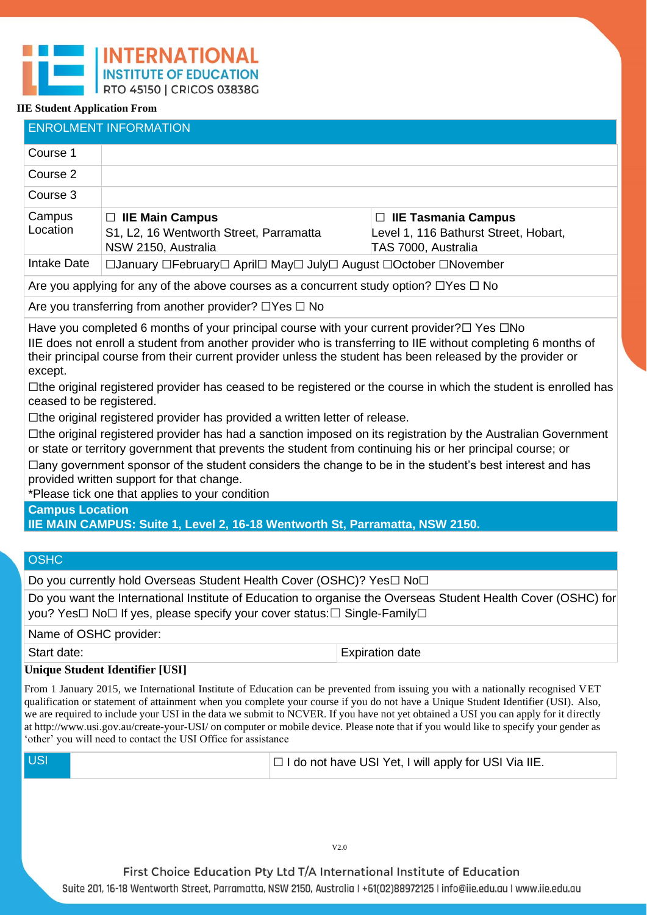|                                                                                                                                                                                                                                                                                                                                                                                                                                                                                                                                                                                                                                                                                                                                                                                                                                                                                                                                                                                                                                       | <b>ENROLMENT INFORMATION</b>                                                                     |  |                                                                                            |  |
|---------------------------------------------------------------------------------------------------------------------------------------------------------------------------------------------------------------------------------------------------------------------------------------------------------------------------------------------------------------------------------------------------------------------------------------------------------------------------------------------------------------------------------------------------------------------------------------------------------------------------------------------------------------------------------------------------------------------------------------------------------------------------------------------------------------------------------------------------------------------------------------------------------------------------------------------------------------------------------------------------------------------------------------|--------------------------------------------------------------------------------------------------|--|--------------------------------------------------------------------------------------------|--|
| Course 1                                                                                                                                                                                                                                                                                                                                                                                                                                                                                                                                                                                                                                                                                                                                                                                                                                                                                                                                                                                                                              |                                                                                                  |  |                                                                                            |  |
| Course 2                                                                                                                                                                                                                                                                                                                                                                                                                                                                                                                                                                                                                                                                                                                                                                                                                                                                                                                                                                                                                              |                                                                                                  |  |                                                                                            |  |
| Course 3                                                                                                                                                                                                                                                                                                                                                                                                                                                                                                                                                                                                                                                                                                                                                                                                                                                                                                                                                                                                                              |                                                                                                  |  |                                                                                            |  |
| Campus<br>Location                                                                                                                                                                                                                                                                                                                                                                                                                                                                                                                                                                                                                                                                                                                                                                                                                                                                                                                                                                                                                    | $\Box$ IIE Main Campus<br>S1, L2, 16 Wentworth Street, Parramatta<br>NSW 2150, Australia         |  | $\Box$ IIE Tasmania Campus<br>Level 1, 116 Bathurst Street, Hobart,<br>TAS 7000, Australia |  |
| Intake Date                                                                                                                                                                                                                                                                                                                                                                                                                                                                                                                                                                                                                                                                                                                                                                                                                                                                                                                                                                                                                           | □January □February□ April□ May□ July□ August □October □November                                  |  |                                                                                            |  |
|                                                                                                                                                                                                                                                                                                                                                                                                                                                                                                                                                                                                                                                                                                                                                                                                                                                                                                                                                                                                                                       | Are you applying for any of the above courses as a concurrent study option? $\Box$ Yes $\Box$ No |  |                                                                                            |  |
|                                                                                                                                                                                                                                                                                                                                                                                                                                                                                                                                                                                                                                                                                                                                                                                                                                                                                                                                                                                                                                       | Are you transferring from another provider? $\Box$ Yes $\Box$ No                                 |  |                                                                                            |  |
| Have you completed 6 months of your principal course with your current provider? $\square$ Yes $\square$ No<br>IIE does not enroll a student from another provider who is transferring to IIE without completing 6 months of<br>their principal course from their current provider unless the student has been released by the provider or<br>except.<br>□the original registered provider has ceased to be registered or the course in which the student is enrolled has<br>ceased to be registered.<br>$\Box$ the original registered provider has provided a written letter of release.<br>□the original registered provider has had a sanction imposed on its registration by the Australian Government<br>or state or territory government that prevents the student from continuing his or her principal course; or<br>□any government sponsor of the student considers the change to be in the student's best interest and has<br>provided written support for that change.<br>*Please tick one that applies to your condition |                                                                                                  |  |                                                                                            |  |
| <b>Campus Location</b>                                                                                                                                                                                                                                                                                                                                                                                                                                                                                                                                                                                                                                                                                                                                                                                                                                                                                                                                                                                                                | IIE MAIN CAMPUS: Suite 1, Level 2, 16-18 Wentworth St, Parramatta, NSW 2150.                     |  |                                                                                            |  |
|                                                                                                                                                                                                                                                                                                                                                                                                                                                                                                                                                                                                                                                                                                                                                                                                                                                                                                                                                                                                                                       |                                                                                                  |  |                                                                                            |  |
| <b>OSHC</b>                                                                                                                                                                                                                                                                                                                                                                                                                                                                                                                                                                                                                                                                                                                                                                                                                                                                                                                                                                                                                           |                                                                                                  |  |                                                                                            |  |
|                                                                                                                                                                                                                                                                                                                                                                                                                                                                                                                                                                                                                                                                                                                                                                                                                                                                                                                                                                                                                                       | Do you currently hold Overseas Student Health Cover (OSHC)? Yes□ No□                             |  |                                                                                            |  |
| Do you want the International Institute of Education to organise the Overseas Student Health Cover (OSHC) for<br>you? Yes□ No□ If yes, please specify your cover status: □ Single-Family□                                                                                                                                                                                                                                                                                                                                                                                                                                                                                                                                                                                                                                                                                                                                                                                                                                             |                                                                                                  |  |                                                                                            |  |
| Name of OSHC provider:                                                                                                                                                                                                                                                                                                                                                                                                                                                                                                                                                                                                                                                                                                                                                                                                                                                                                                                                                                                                                |                                                                                                  |  |                                                                                            |  |
| Start date:                                                                                                                                                                                                                                                                                                                                                                                                                                                                                                                                                                                                                                                                                                                                                                                                                                                                                                                                                                                                                           |                                                                                                  |  | <b>Expiration date</b>                                                                     |  |
| <b>Unique Student Identifier [USI]</b><br>From 1 January 2015, we International Institute of Education can be prevented from issuing you with a nationally recognised VET<br>qualification or statement of attainment when you complete your course if you do not have a Unique Student Identifier (USI). Also,<br>we are required to include your USI in the data we submit to NCVER. If you have not yet obtained a USI you can apply for it directly<br>at http://www.usi.gov.au/create-your-USI/ on computer or mobile device. Please note that if you would like to specify your gender as<br>'other' you will need to contact the USI Office for assistance                                                                                                                                                                                                                                                                                                                                                                     |                                                                                                  |  |                                                                                            |  |
| <b>USI</b>                                                                                                                                                                                                                                                                                                                                                                                                                                                                                                                                                                                                                                                                                                                                                                                                                                                                                                                                                                                                                            |                                                                                                  |  | □ I do not have USI Yet, I will apply for USI Via IIE.                                     |  |
|                                                                                                                                                                                                                                                                                                                                                                                                                                                                                                                                                                                                                                                                                                                                                                                                                                                                                                                                                                                                                                       |                                                                                                  |  |                                                                                            |  |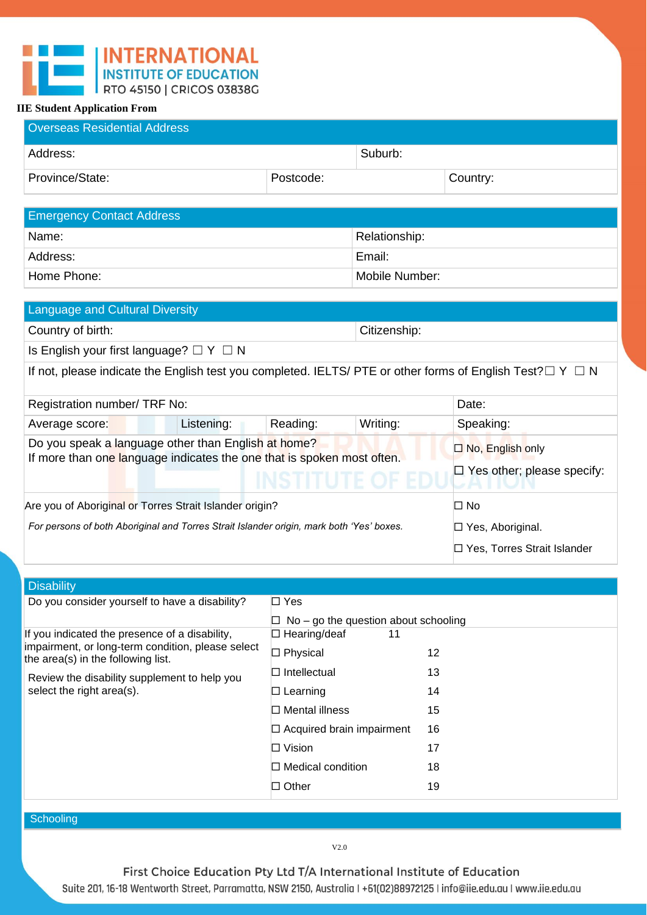| <b>Overseas Residential Address</b> |           |         |          |
|-------------------------------------|-----------|---------|----------|
| Address:                            |           | Suburb: |          |
| Province/State:                     | Postcode: |         | Country: |

| <b>Emergency Contact Address</b> |                |  |  |
|----------------------------------|----------------|--|--|
| Name:                            | Relationship:  |  |  |
| Address:                         | Email:         |  |  |
| Home Phone:                      | Mobile Number: |  |  |

| <b>Language and Cultural Diversity</b>                                                                               |                                                                |  |  |  |
|----------------------------------------------------------------------------------------------------------------------|----------------------------------------------------------------|--|--|--|
| Country of birth:                                                                                                    | Citizenship:                                                   |  |  |  |
| Is English your first language? $\Box Y \Box N$                                                                      |                                                                |  |  |  |
| If not, please indicate the English test you completed. IELTS/ PTE or other forms of English Test? $\Box$ Y $\Box$ N |                                                                |  |  |  |
| Registration number/ TRF No:                                                                                         | Date:                                                          |  |  |  |
| Listening:<br>Reading:<br>Average score:                                                                             | Writing:<br>Speaking:                                          |  |  |  |
| Do you speak a language other than English at home?                                                                  | □ No, English only                                             |  |  |  |
| If more than one language indicates the one that is spoken most often.                                               | $\Box$ Yes other; please specify:<br><b>ITIUTE OF EDI</b><br>. |  |  |  |
| Are you of Aboriginal or Torres Strait Islander origin?                                                              | $\square$ No                                                   |  |  |  |
| For persons of both Aboriginal and Torres Strait Islander origin, mark both 'Yes' boxes.                             | $\Box$ Yes, Aboriginal.                                        |  |  |  |
|                                                                                                                      | $\Box$ Yes, Torres Strait Islander                             |  |  |  |

| <b>Disability</b>                                                                       |                                             |    |
|-----------------------------------------------------------------------------------------|---------------------------------------------|----|
| Do you consider yourself to have a disability?                                          | $\Box$ Yes                                  |    |
|                                                                                         | $\Box$ No – go the question about schooling |    |
| If you indicated the presence of a disability,                                          | $\Box$ Hearing/deaf<br>11                   |    |
| impairment, or long-term condition, please select<br>the area(s) in the following list. | $\Box$ Physical                             | 12 |
| Review the disability supplement to help you<br>select the right area(s).               | $\Box$ Intellectual                         | 13 |
|                                                                                         | $\Box$ Learning                             | 14 |
|                                                                                         | $\Box$ Mental illness                       | 15 |
|                                                                                         | $\Box$ Acquired brain impairment            | 16 |
|                                                                                         | $\Box$ Vision                               | 17 |
|                                                                                         | $\Box$ Medical condition                    | 18 |
|                                                                                         | $\Box$ Other                                | 19 |
|                                                                                         |                                             |    |

**Schooling**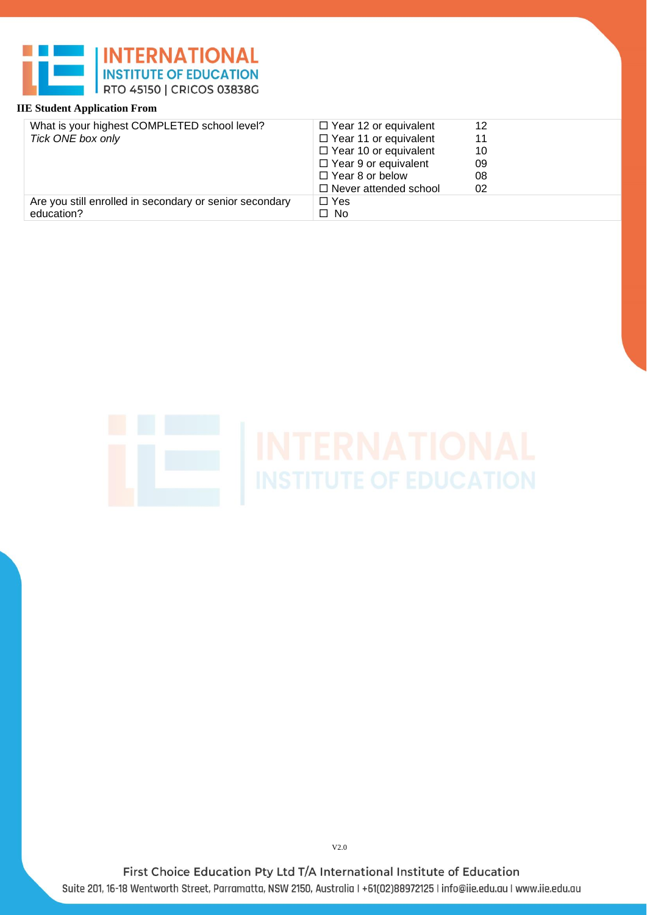| What is your highest COMPLETED school level?            | $\Box$ Year 12 or equivalent | 12 |
|---------------------------------------------------------|------------------------------|----|
| Tick ONE box only                                       | $\Box$ Year 11 or equivalent | 11 |
|                                                         | $\Box$ Year 10 or equivalent | 10 |
|                                                         | $\Box$ Year 9 or equivalent  | 09 |
|                                                         | $\Box$ Year 8 or below       | 08 |
|                                                         | $\Box$ Never attended school | 02 |
| Are you still enrolled in secondary or senior secondary | $\Box$ Yes                   |    |
| education?                                              | $\Box$ No                    |    |

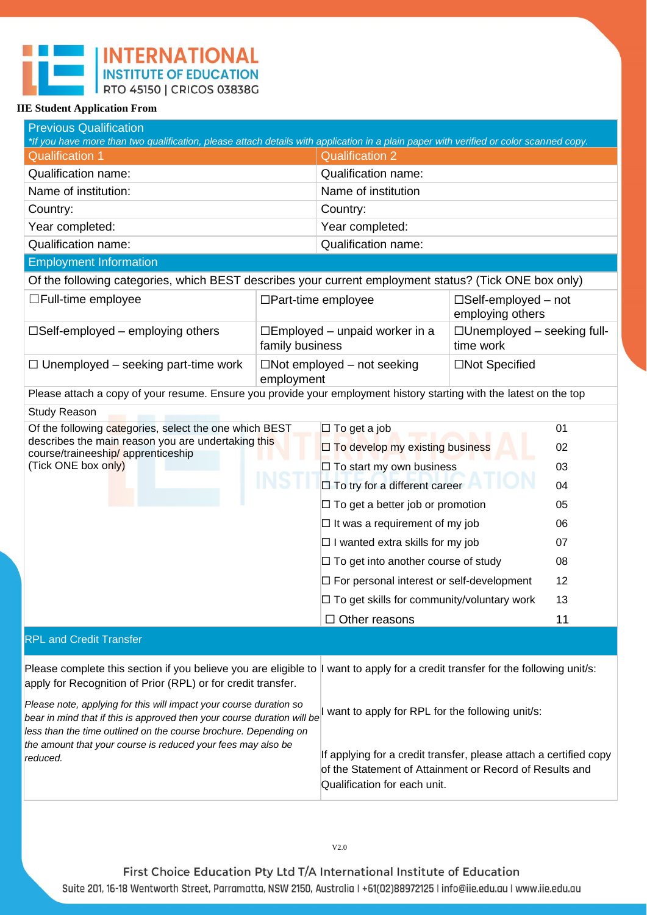| <b>Previous Qualification</b><br>*If you have more than two qualification, please attach details with application in a plain paper with verified or color scanned copy.                                                                                                                       |                 |                                                                                                                                                              |                                                   |                      |
|-----------------------------------------------------------------------------------------------------------------------------------------------------------------------------------------------------------------------------------------------------------------------------------------------|-----------------|--------------------------------------------------------------------------------------------------------------------------------------------------------------|---------------------------------------------------|----------------------|
| <b>Qualification 1</b>                                                                                                                                                                                                                                                                        |                 | <b>Qualification 2</b>                                                                                                                                       |                                                   |                      |
| <b>Qualification name:</b>                                                                                                                                                                                                                                                                    |                 | <b>Qualification name:</b>                                                                                                                                   |                                                   |                      |
| Name of institution:                                                                                                                                                                                                                                                                          |                 | Name of institution                                                                                                                                          |                                                   |                      |
| Country:                                                                                                                                                                                                                                                                                      |                 | Country:                                                                                                                                                     |                                                   |                      |
| Year completed:                                                                                                                                                                                                                                                                               |                 | Year completed:                                                                                                                                              |                                                   |                      |
| <b>Qualification name:</b>                                                                                                                                                                                                                                                                    |                 | <b>Qualification name:</b>                                                                                                                                   |                                                   |                      |
| <b>Employment Information</b>                                                                                                                                                                                                                                                                 |                 |                                                                                                                                                              |                                                   |                      |
| Of the following categories, which BEST describes your current employment status? (Tick ONE box only)                                                                                                                                                                                         |                 |                                                                                                                                                              |                                                   |                      |
| $\Box$ Full-time employee                                                                                                                                                                                                                                                                     |                 | $\Box$ Part-time employee                                                                                                                                    | $\square$ Self-employed – not<br>employing others |                      |
| $\square$ Self-employed – employing others                                                                                                                                                                                                                                                    | family business | $\square$ Employed – unpaid worker in a                                                                                                                      | $\Box$ Unemployed – seeking full-<br>time work    |                      |
| $\Box$ Unemployed – seeking part-time work                                                                                                                                                                                                                                                    | employment      | $\Box$ Not employed – not seeking                                                                                                                            | □Not Specified                                    |                      |
| Please attach a copy of your resume. Ensure you provide your employment history starting with the latest on the top                                                                                                                                                                           |                 |                                                                                                                                                              |                                                   |                      |
| <b>Study Reason</b>                                                                                                                                                                                                                                                                           |                 |                                                                                                                                                              |                                                   |                      |
| Of the following categories, select the one which BEST<br>describes the main reason you are undertaking this<br>course/traineeship/ apprenticeship<br>(Tick ONE box only)                                                                                                                     |                 | $\square$ To get a job<br>$\Box$ To develop my existing business<br>$\Box$ To start my own business<br>$\square$ To try for a different career               |                                                   | 01<br>02<br>03<br>04 |
|                                                                                                                                                                                                                                                                                               |                 | $\Box$ To get a better job or promotion                                                                                                                      |                                                   | 05                   |
|                                                                                                                                                                                                                                                                                               |                 | $\Box$ It was a requirement of my job                                                                                                                        |                                                   | 06                   |
|                                                                                                                                                                                                                                                                                               |                 | $\Box$ I wanted extra skills for my job                                                                                                                      |                                                   | 07                   |
|                                                                                                                                                                                                                                                                                               |                 | $\Box$ To get into another course of study                                                                                                                   |                                                   | 08                   |
|                                                                                                                                                                                                                                                                                               |                 | $\Box$ For personal interest or self-development                                                                                                             |                                                   | 12                   |
|                                                                                                                                                                                                                                                                                               |                 | $\Box$ To get skills for community/voluntary work                                                                                                            |                                                   | 13                   |
|                                                                                                                                                                                                                                                                                               |                 | $\Box$ Other reasons                                                                                                                                         |                                                   | 11                   |
| <b>RPL and Credit Transfer</b>                                                                                                                                                                                                                                                                |                 |                                                                                                                                                              |                                                   |                      |
| Please complete this section if you believe you are eligible to<br>want to apply for a credit transfer for the following unit/s:<br>apply for Recognition of Prior (RPL) or for credit transfer.                                                                                              |                 |                                                                                                                                                              |                                                   |                      |
| Please note, applying for this will impact your course duration so<br>bear in mind that if this is approved then your course duration will be<br>less than the time outlined on the course brochure. Depending on<br>the amount that your course is reduced your fees may also be<br>reduced. |                 | I want to apply for RPL for the following unit/s:                                                                                                            |                                                   |                      |
|                                                                                                                                                                                                                                                                                               |                 | If applying for a credit transfer, please attach a certified copy<br>of the Statement of Attainment or Record of Results and<br>Qualification for each unit. |                                                   |                      |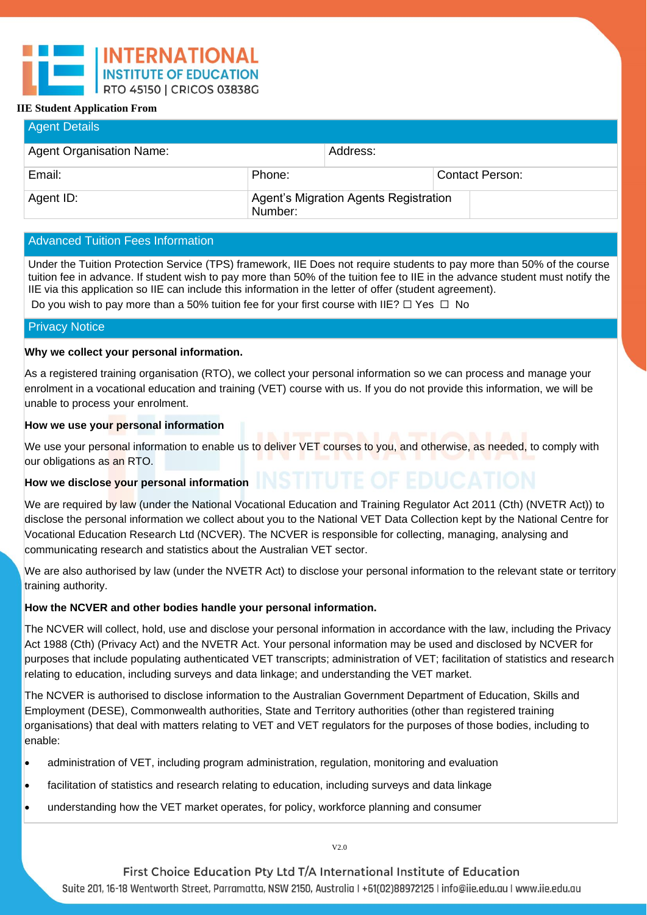| <b>Agent Details</b>     |                                                  |          |  |                        |  |
|--------------------------|--------------------------------------------------|----------|--|------------------------|--|
| Agent Organisation Name: |                                                  | Address: |  |                        |  |
| Email:                   | Phone:                                           |          |  | <b>Contact Person:</b> |  |
| Agent ID:                | Agent's Migration Agents Registration<br>Number: |          |  |                        |  |

# Advanced Tuition Fees Information

Under the Tuition Protection Service (TPS) framework, IIE Does not require students to pay more than 50% of the course tuition fee in advance. If student wish to pay more than 50% of the tuition fee to IIE in the advance student must notify the IIE via this application so IIE can include this information in the letter of offer (student agreement). Do you wish to pay more than a 50% tuition fee for your first course with IIE?  $\Box$  Yes  $\Box$  No

# Privacy Notice

# **Why we collect your personal information.**

As a registered training organisation (RTO), we collect your personal information so we can process and manage your enrolment in a vocational education and training (VET) course with us. If you do not provide this information, we will be unable to process your enrolment.

# **How we use your personal information**

We use your personal information to enable us to deliver VET courses to you, and otherwise, as needed, to comply with our obligations as an RTO.

# How we disclose your personal information **INSTITUTE OF EDUCATION**

We are required by law (under the National Vocational Education and Training Regulator Act 2011 (Cth) (NVETR Act)) to disclose the personal information we collect about you to the National VET Data Collection kept by the National Centre for Vocational Education Research Ltd (NCVER). The NCVER is responsible for collecting, managing, analysing and communicating research and statistics about the Australian VET sector.

We are also authorised by law (under the NVETR Act) to disclose your personal information to the relevant state or territory training authority.

# **How the NCVER and other bodies handle your personal information.**

The NCVER will collect, hold, use and disclose your personal information in accordance with the law, including the Privacy Act 1988 (Cth) (Privacy Act) and the NVETR Act. Your personal information may be used and disclosed by NCVER for purposes that include populating authenticated VET transcripts; administration of VET; facilitation of statistics and research relating to education, including surveys and data linkage; and understanding the VET market.

The NCVER is authorised to disclose information to the Australian Government Department of Education, Skills and Employment (DESE), Commonwealth authorities, State and Territory authorities (other than registered training organisations) that deal with matters relating to VET and VET regulators for the purposes of those bodies, including to enable:

- administration of VET, including program administration, regulation, monitoring and evaluation
- facilitation of statistics and research relating to education, including surveys and data linkage
- understanding how the VET market operates, for policy, workforce planning and consumer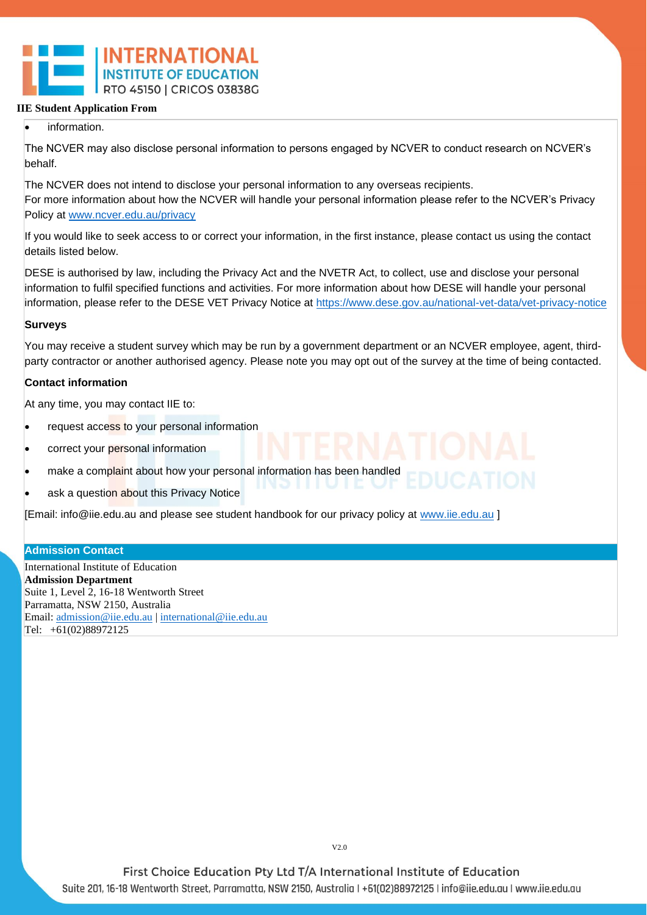# information.

The NCVER may also disclose personal information to persons engaged by NCVER to conduct research on NCVER's behalf.

The NCVER does not intend to disclose your personal information to any overseas recipients. For more information about how the NCVER will handle your personal information please refer to the NCVER's Privacy Policy at [www.ncver.edu.au/privacy](http://www.ncver.edu.au/privacy)

If you would like to seek access to or correct your information, in the first instance, please contact us using the contact details listed below.

DESE is authorised by law, including the Privacy Act and the NVETR Act, to collect, use and disclose your personal information to fulfil specified functions and activities. For more information about how DESE will handle your personal information, please refer to the DESE VET Privacy Notice at https://www.dese.gov.au/national-vet-data/vet-privacy-notice

# **Surveys**

You may receive a student survey which may be run by a government department or an NCVER employee, agent, thirdparty contractor or another authorised agency. Please note you may opt out of the survey at the time of being contacted.

# **Contact information**

At any time, you may contact IIE to:

- request access to your personal information
- correct your personal information
- make a complaint about how your personal information has been handled
- ask a question about this Privacy Notice

[Email: info@iie.edu.au and please see student handbook for our privacy policy at [www.iie.edu.au](http://www.iie.edu.au/) ]

#### **Admission Contact**

International Institute of Education **Admission Department**  Suite 1, Level 2, 16-18 Wentworth Street Parramatta, NSW 2150, Australia Email: [admission@iie.edu.au](mailto:admission@iie.edu.au) [| international@iie.edu.au](mailto:international@iie.edu.au) Tel: +61(02)88972125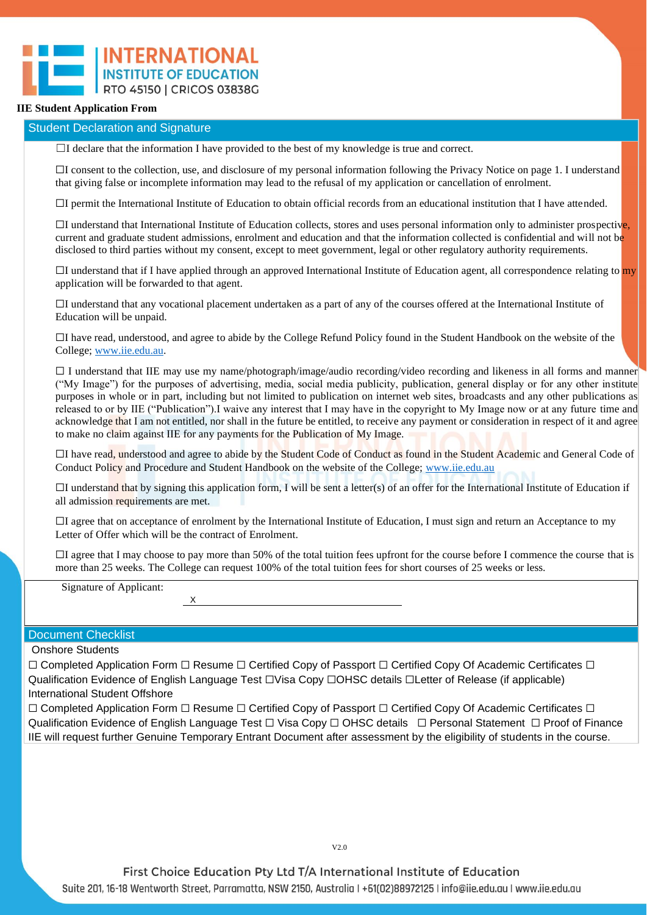#### Student Declaration and Signature

 $\Box$ I declare that the information I have provided to the best of my knowledge is true and correct.

☐I consent to the collection, use, and disclosure of my personal information following the Privacy Notice on page 1. I understand that giving false or incomplete information may lead to the refusal of my application or cancellation of enrolment.

☐I permit the International Institute of Education to obtain official records from an educational institution that I have attended.

 $\Box$ I understand that International Institute of Education collects, stores and uses personal information only to administer prospective, current and graduate student admissions, enrolment and education and that the information collected is confidential and will not be disclosed to third parties without my consent, except to meet government, legal or other regulatory authority requirements.

 $\Box$ I understand that if I have applied through an approved International Institute of Education agent, all correspondence relating to my application will be forwarded to that agent.

☐I understand that any vocational placement undertaken as a part of any of the courses offered at the International Institute of Education will be unpaid.

☐I have read, understood, and agree to abide by the College Refund Policy found in the Student Handbook on the website of the College; [www.iie.edu.au.](http://www.iie.edu.au/)

☐ I understand that IIE may use my name/photograph/image/audio recording/video recording and likeness in all forms and manner ("My Image") for the purposes of advertising, media, social media publicity, publication, general display or for any other institute purposes in whole or in part, including but not limited to publication on internet web sites, broadcasts and any other publications as released to or by IIE ("Publication").I waive any interest that I may have in the copyright to My Image now or at any future time and acknowledge that I am not entitled, nor shall in the future be entitled, to receive any payment or consideration in respect of it and agree to make no claim against IIE for any payments for the Publication of My Image.

☐I have read, understood and agree to abide by the Student Code of Conduct as found in the Student Academic and General Code of Conduct Policy and Procedure and Student Handbook on the website of the College; [www.iie.edu.au](http://www.iie.edu.au/)

☐I understand that by signing this application form, I will be sent a letter(s) of an offer for the International Institute of Education if all admission requirements are met.

☐I agree that on acceptance of enrolment by the International Institute of Education, I must sign and return an Acceptance to my Letter of Offer which will be the contract of Enrolment.

 $\Box$ I agree that I may choose to pay more than 50% of the total tuition fees upfront for the course before I commence the course that is more than 25 weeks. The College can request 100% of the total tuition fees for short courses of 25 weeks or less.

Signature of Applicant:

X

#### Document Checklist

Onshore Students

☐ Completed Application Form ☐ Resume ☐ Certified Copy of Passport ☐ Certified Copy Of Academic Certificates ☐ Qualification Evidence of English Language Test □Visa Copy □OHSC details □Letter of Release (if applicable) International Student Offshore

☐ Completed Application Form ☐ Resume ☐ Certified Copy of Passport ☐ Certified Copy Of Academic Certificates ☐ Qualification Evidence of English Language Test □ Visa Copy □ OHSC details □ Personal Statement □ Proof of Finance IIE will request further Genuine Temporary Entrant Document after assessment by the eligibility of students in the course.